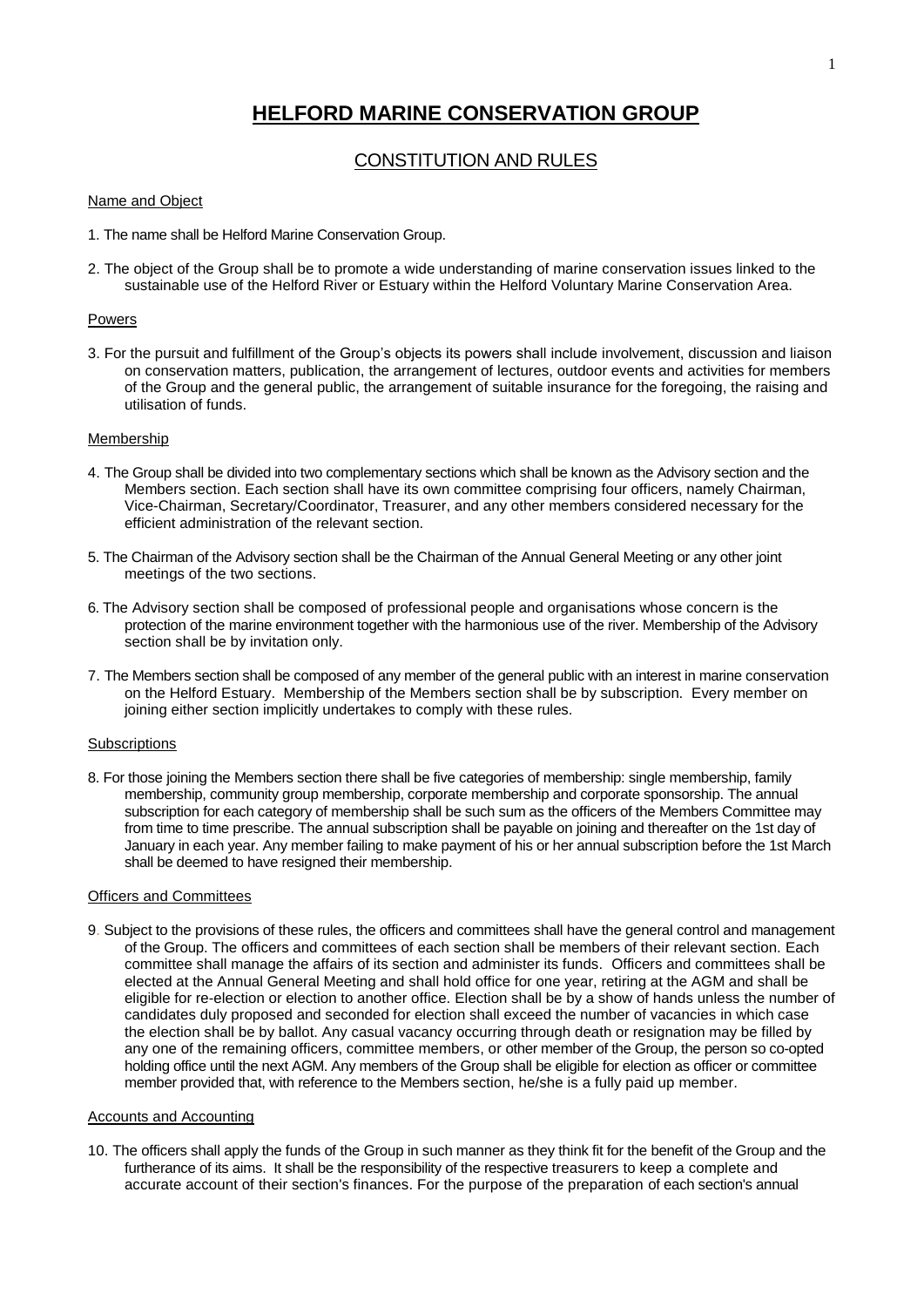# **HELFORD MARINE CONSERVATION GROUP**

# CONSTITUTION AND RULES

## Name and Object

- 1. The name shall be Helford Marine Conservation Group.
- 2. The object of the Group shall be to promote a wide understanding of marine conservation issues linked to the sustainable use of the Helford River or Estuary within the Helford Voluntary Marine Conservation Area.

#### Powers

3. For the pursuit and fulfillment of the Group's objects its powers shall include involvement, discussion and liaison on conservation matters, publication, the arrangement of lectures, outdoor events and activities for members of the Group and the general public, the arrangement of suitable insurance for the foregoing, the raising and utilisation of funds.

#### Membership

- 4. The Group shall be divided into two complementary sections which shall be known as the Advisory section and the Members section. Each section shall have its own committee comprising four officers, namely Chairman, Vice-Chairman, Secretary/Coordinator, Treasurer, and any other members considered necessary for the efficient administration of the relevant section.
- 5. The Chairman of the Advisory section shall be the Chairman of the Annual General Meeting or any other joint meetings of the two sections.
- 6. The Advisory section shall be composed of professional people and organisations whose concern is the protection of the marine environment together with the harmonious use of the river. Membership of the Advisory section shall be by invitation only.
- 7. The Members section shall be composed of any member of the general public with an interest in marine conservation on the Helford Estuary. Membership of the Members section shall be by subscription. Every member on joining either section implicitly undertakes to comply with these rules.

#### **Subscriptions**

8. For those joining the Members section there shall be five categories of membership: single membership, family membership, community group membership, corporate membership and corporate sponsorship. The annual subscription for each category of membership shall be such sum as the officers of the Members Committee may from time to time prescribe. The annual subscription shall be payable on joining and thereafter on the 1st day of January in each year. Any member failing to make payment of his or her annual subscription before the 1st March shall be deemed to have resigned their membership.

#### Officers and Committees

9. Subject to the provisions of these rules, the officers and committees shall have the general control and management of the Group. The officers and committees of each section shall be members of their relevant section. Each committee shall manage the affairs of its section and administer its funds. Officers and committees shall be elected at the Annual General Meeting and shall hold office for one year, retiring at the AGM and shall be eligible for re-election or election to another office. Election shall be by a show of hands unless the number of candidates duly proposed and seconded for election shall exceed the number of vacancies in which case the election shall be by ballot. Any casual vacancy occurring through death or resignation may be filled by any one of the remaining officers, committee members, or other member of the Group, the person so co-opted holding office until the next AGM. Any members of the Group shall be eligible for election as officer or committee member provided that, with reference to the Members section, he/she is a fully paid up member.

## Accounts and Accounting

10. The officers shall apply the funds of the Group in such manner as they think fit for the benefit of the Group and the furtherance of its aims. It shall be the responsibility of the respective treasurers to keep a complete and accurate account of their section's finances. For the purpose of the preparation of each section's annual